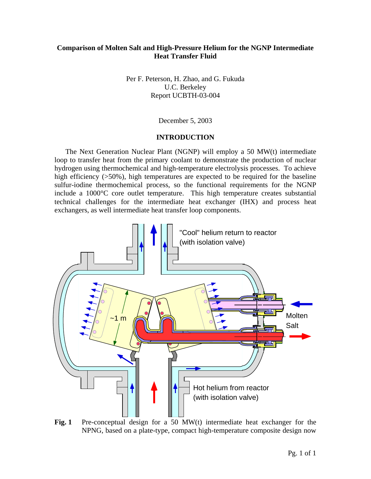# **Comparison of Molten Salt and High-Pressure Helium for the NGNP Intermediate Heat Transfer Fluid**

Per F. Peterson, H. Zhao, and G. Fukuda U.C. Berkeley Report UCBTH-03-004

December 5, 2003

### **INTRODUCTION**

The Next Generation Nuclear Plant (NGNP) will employ a 50 MW(t) intermediate loop to transfer heat from the primary coolant to demonstrate the production of nuclear hydrogen using thermochemical and high-temperature electrolysis processes. To achieve high efficiency (>50%), high temperatures are expected to be required for the baseline sulfur-iodine thermochemical process, so the functional requirements for the NGNP include a 1000°C core outlet temperature. This high temperature creates substantial technical challenges for the intermediate heat exchanger (IHX) and process heat exchangers, as well intermediate heat transfer loop components.



Fig. 1 Pre-conceptual design for a 50 MW(t) intermediate heat exchanger for the NPNG, based on a plate-type, compact high-temperature composite design now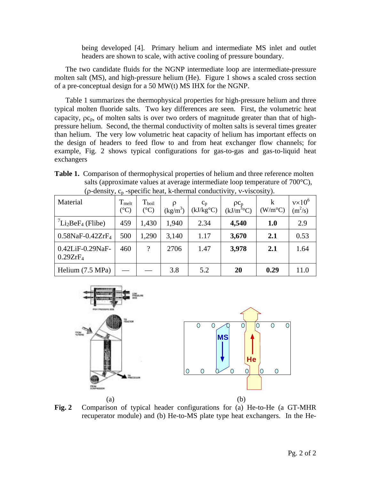being developed [4]. Primary helium and intermediate MS inlet and outlet headers are shown to scale, with active cooling of pressure boundary.

The two candidate fluids for the NGNP intermediate loop are intermediate-pressure molten salt (MS), and high-pressure helium (He). Figure 1 shows a scaled cross section of a pre-conceptual design for a 50 MW(t) MS IHX for the NGNP.

Table 1 summarizes the thermophysical properties for high-pressure helium and three typical molten fluoride salts. Two key differences are seen. First, the volumetric heat capacity,  $\rho c_p$ , of molten salts is over two orders of magnitude greater than that of highpressure helium. Second, the thermal conductivity of molten salts is several times greater than helium. The very low volumetric heat capacity of helium has important effects on the design of headers to feed flow to and from heat exchanger flow channels; for example, Fig. 2 shows typical configurations for gas-to-gas and gas-to-liquid heat exchangers

**Table 1.** Comparison of thermophysical properties of helium and three reference molten salts (approximate values at average intermediate loop temperature of 700°C), ( $\rho$ -density,  $c_p$ -specific heat, k-thermal conductivity, v-viscosity).

| Material                                 | $T_{melt}$<br>$({}^{\circ}C)$ | $T_{\text{boil}}$<br>$({}^{\circ}C)$ | Q<br>$(kg/m^3)$ | $c_p$<br>(kJ/kg <sup>o</sup> C) | $_{\rho c_n}$<br>$(kJ/m^{30}C)$ | k<br>$(W/m^{\circ}C)$ | $v \times 10^6$<br>$(m^2/s)$ |
|------------------------------------------|-------------------------------|--------------------------------------|-----------------|---------------------------------|---------------------------------|-----------------------|------------------------------|
| $\binom{7}{12}$ BeF <sub>4</sub> (Flibe) | 459                           | 1,430                                | 1,940           | 2.34                            | 4,540                           | <b>1.0</b>            | 2.9                          |
| $0.58$ NaF-0.42ZrF <sub>4</sub>          | 500                           | 1,290                                | 3,140           | 1.17                            | 3,670                           | 2.1                   | 0.53                         |
| 0.42LiF-0.29NaF-<br>0.29ZrF <sub>4</sub> | 460                           | 9                                    | 2706            | 1.47                            | 3,978                           | 2.1                   | 1.64                         |
| Helium (7.5 MPa)                         |                               |                                      | 3.8             | 5.2                             | 20                              | 0.29                  | 11.0                         |



**Fig. 2** Comparison of typical header configurations for (a) He-to-He (a GT-MHR recuperator module) and (b) He-to-MS plate type heat exchangers. In the He-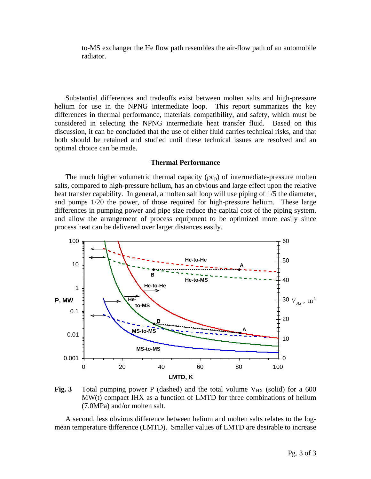to-MS exchanger the He flow path resembles the air-flow path of an automobile radiator.

Substantial differences and tradeoffs exist between molten salts and high-pressure helium for use in the NPNG intermediate loop. This report summarizes the key differences in thermal performance, materials compatibility, and safety, which must be considered in selecting the NPNG intermediate heat transfer fluid. Based on this discussion, it can be concluded that the use of either fluid carries technical risks, and that both should be retained and studied until these technical issues are resolved and an optimal choice can be made.

#### **Thermal Performance**

The much higher volumetric thermal capacity  $(\rho c_n)$  of intermediate-pressure molten salts, compared to high-pressure helium, has an obvious and large effect upon the relative heat transfer capability. In general, a molten salt loop will use piping of 1/5 the diameter, and pumps 1/20 the power, of those required for high-pressure helium. These large differences in pumping power and pipe size reduce the capital cost of the piping system, and allow the arrangement of process equipment to be optimized more easily since process heat can be delivered over larger distances easily.



**Fig. 3** Total pumping power P (dashed) and the total volume  $V_{HX}$  (solid) for a 600 MW(t) compact IHX as a function of LMTD for three combinations of helium (7.0MPa) and/or molten salt.

A second, less obvious difference between helium and molten salts relates to the logmean temperature difference (LMTD). Smaller values of LMTD are desirable to increase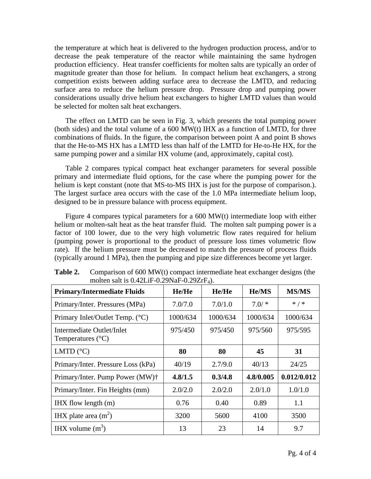the temperature at which heat is delivered to the hydrogen production process, and/or to decrease the peak temperature of the reactor while maintaining the same hydrogen production efficiency. Heat transfer coefficients for molten salts are typically an order of magnitude greater than those for helium. In compact helium heat exchangers, a strong competition exists between adding surface area to decrease the LMTD, and reducing surface area to reduce the helium pressure drop. Pressure drop and pumping power considerations usually drive helium heat exchangers to higher LMTD values than would be selected for molten salt heat exchangers.

The effect on LMTD can be seen in Fig. 3, which presents the total pumping power (both sides) and the total volume of a 600 MW(t) IHX as a function of LMTD, for three combinations of fluids. In the figure, the comparison between point A and point B shows that the He-to-MS HX has a LMTD less than half of the LMTD for He-to-He HX, for the same pumping power and a similar HX volume (and, approximately, capital cost).

Table 2 compares typical compact heat exchanger parameters for several possible primary and intermediate fluid options, for the case where the pumping power for the helium is kept constant (note that MS-to-MS IHX is just for the purpose of comparison.). The largest surface area occurs with the case of the 1.0 MPa intermediate helium loop, designed to be in pressure balance with process equipment.

Figure 4 compares typical parameters for a 600 MW(t) intermediate loop with either helium or molten-salt heat as the heat transfer fluid. The molten salt pumping power is a factor of 100 lower, due to the very high volumetric flow rates required for helium (pumping power is proportional to the product of pressure loss times volumetric flow rate). If the helium pressure must be decreased to match the pressure of process fluids (typically around 1 MPa), then the pumping and pipe size differences become yet larger.

| <b>Primary/Intermediate Fluids</b>                      | He/He    | He/He    | <b>He/MS</b> | <b>MS/MS</b> |
|---------------------------------------------------------|----------|----------|--------------|--------------|
| Primary/Inter. Pressures (MPa)                          | 7.0/7.0  | 7.0/1.0  | $7.0/$ *     | $*$ / $*$    |
| Primary Inlet/Outlet Temp. (°C)                         | 1000/634 | 1000/634 | 1000/634     | 1000/634     |
| Intermediate Outlet/Inlet<br>Temperatures $(^{\circ}C)$ | 975/450  | 975/450  | 975/560      | 975/595      |
| LMTD $(^{\circ}C)$                                      | 80       | 80       | 45           | 31           |
| Primary/Inter. Pressure Loss (kPa)                      | 40/19    | 2.7/9.0  | 40/13        | 24/25        |
| Primary/Inter. Pump Power (MW)†                         | 4.8/1.5  | 0.3/4.8  | 4.8/0.005    | 0.012/0.012  |
| Primary/Inter. Fin Heights (mm)                         | 2.0/2.0  | 2.0/2.0  | 2.0/1.0      | 1.0/1.0      |
| $HX$ flow length $(m)$                                  | 0.76     | 0.40     | 0.89         | 1.1          |
| IHX plate area $(m2)$                                   | 3200     | 5600     | 4100         | 3500         |
| IHX volume $(m^3)$                                      | 13       | 23       | 14           | 9.7          |

| Table 2. | Comparison of $600 \text{ MW}(t)$ compact intermediate heat exchanger designs (the |
|----------|------------------------------------------------------------------------------------|
|          | molten salt is $0.42LiF-0.29NaF-0.29ZrF_4$ ).                                      |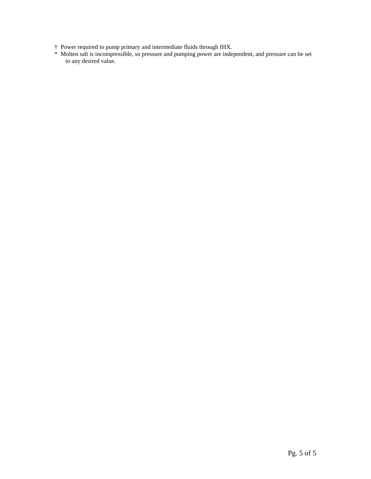- † Power required to pump primary and intermediate fluids through IHX.
- \* Molten salt is incompressible, so pressure and pumping power are independent, and pressure can be set to any desired value.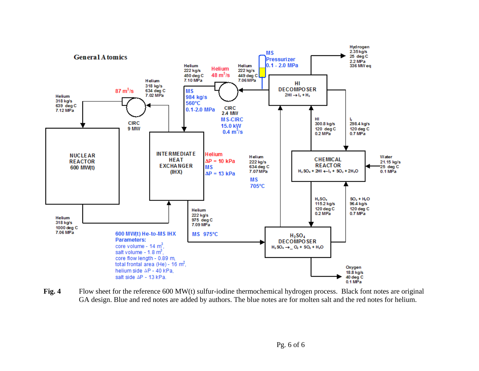

Fig. 4 Flow sheet for the reference 600 MW(t) sulfur-iodine thermochemical hydrogen process. Black font notes are original GA design. Blue and red notes are added by authors. The blue notes are for molten salt and the red notes for helium.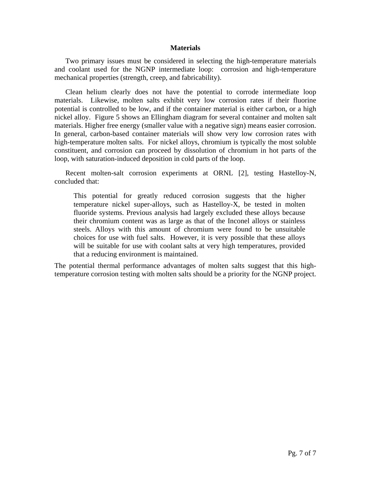### **Materials**

Two primary issues must be considered in selecting the high-temperature materials and coolant used for the NGNP intermediate loop: corrosion and high-temperature mechanical properties (strength, creep, and fabricability).

Clean helium clearly does not have the potential to corrode intermediate loop materials. Likewise, molten salts exhibit very low corrosion rates if their fluorine potential is controlled to be low, and if the container material is either carbon, or a high nickel alloy. Figure 5 shows an Ellingham diagram for several container and molten salt materials. Higher free energy (smaller value with a negative sign) means easier corrosion. In general, carbon-based container materials will show very low corrosion rates with high-temperature molten salts. For nickel alloys, chromium is typically the most soluble constituent, and corrosion can proceed by dissolution of chromium in hot parts of the loop, with saturation-induced deposition in cold parts of the loop.

Recent molten-salt corrosion experiments at ORNL [2], testing Hastelloy-N, concluded that:

This potential for greatly reduced corrosion suggests that the higher temperature nickel super-alloys, such as Hastelloy-X, be tested in molten fluoride systems. Previous analysis had largely excluded these alloys because their chromium content was as large as that of the Inconel alloys or stainless steels. Alloys with this amount of chromium were found to be unsuitable choices for use with fuel salts. However, it is very possible that these alloys will be suitable for use with coolant salts at very high temperatures, provided that a reducing environment is maintained.

The potential thermal performance advantages of molten salts suggest that this hightemperature corrosion testing with molten salts should be a priority for the NGNP project.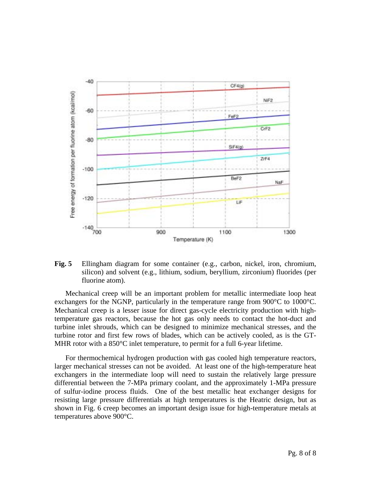

**Fig. 5** Ellingham diagram for some container (e.g., carbon, nickel, iron, chromium, silicon) and solvent (e.g., lithium, sodium, beryllium, zirconium) fluorides (per fluorine atom).

Mechanical creep will be an important problem for metallic intermediate loop heat exchangers for the NGNP, particularly in the temperature range from 900°C to 1000°C. Mechanical creep is a lesser issue for direct gas-cycle electricity production with hightemperature gas reactors, because the hot gas only needs to contact the hot-duct and turbine inlet shrouds, which can be designed to minimize mechanical stresses, and the turbine rotor and first few rows of blades, which can be actively cooled, as is the GT-MHR rotor with a 850°C inlet temperature, to permit for a full 6-year lifetime.

For thermochemical hydrogen production with gas cooled high temperature reactors, larger mechanical stresses can not be avoided. At least one of the high-temperature heat exchangers in the intermediate loop will need to sustain the relatively large pressure differential between the 7-MPa primary coolant, and the approximately 1-MPa pressure of sulfur-iodine process fluids. One of the best metallic heat exchanger designs for resisting large pressure differentials at high temperatures is the Heatric design, but as shown in Fig. 6 creep becomes an important design issue for high-temperature metals at temperatures above 900°C.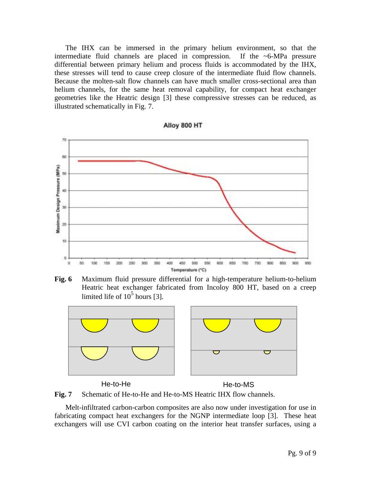The IHX can be immersed in the primary helium environment, so that the intermediate fluid channels are placed in compression. If the  $\sim$ 6-MPa pressure differential between primary helium and process fluids is accommodated by the IHX, these stresses will tend to cause creep closure of the intermediate fluid flow channels. Because the molten-salt flow channels can have much smaller cross-sectional area than helium channels, for the same heat removal capability, for compact heat exchanger geometries like the Heatric design [3] these compressive stresses can be reduced, as illustrated schematically in Fig. 7.

Alloy 800 HT









He-to-He He-to-MS

**Fig. 7** Schematic of He-to-He and He-to-MS Heatric IHX flow channels.

Melt-infiltrated carbon-carbon composites are also now under investigation for use in fabricating compact heat exchangers for the NGNP intermediate loop [3]. These heat exchangers will use CVI carbon coating on the interior heat transfer surfaces, using a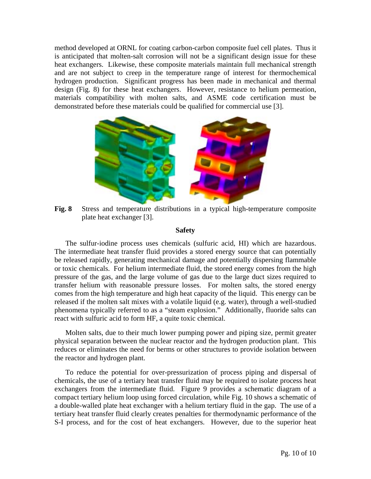method developed at ORNL for coating carbon-carbon composite fuel cell plates. Thus it is anticipated that molten-salt corrosion will not be a significant design issue for these heat exchangers. Likewise, these composite materials maintain full mechanical strength and are not subject to creep in the temperature range of interest for thermochemical hydrogen production. Significant progress has been made in mechanical and thermal design (Fig. 8) for these heat exchangers. However, resistance to helium permeation, materials compatibility with molten salts, and ASME code certification must be demonstrated before these materials could be qualified for commercial use [3].



 **Fig. 8** Stress and temperature distributions in a typical high-temperature composite plate heat exchanger [3].

## **Safety**

The sulfur-iodine process uses chemicals (sulfuric acid, HI) which are hazardous. The intermediate heat transfer fluid provides a stored energy source that can potentially be released rapidly, generating mechanical damage and potentially dispersing flammable or toxic chemicals. For helium intermediate fluid, the stored energy comes from the high pressure of the gas, and the large volume of gas due to the large duct sizes required to transfer helium with reasonable pressure losses. For molten salts, the stored energy comes from the high temperature and high heat capacity of the liquid. This energy can be released if the molten salt mixes with a volatile liquid (e.g. water), through a well-studied phenomena typically referred to as a "steam explosion." Additionally, fluoride salts can react with sulfuric acid to form HF, a quite toxic chemical.

Molten salts, due to their much lower pumping power and piping size, permit greater physical separation between the nuclear reactor and the hydrogen production plant. This reduces or eliminates the need for berms or other structures to provide isolation between the reactor and hydrogen plant.

To reduce the potential for over-pressurization of process piping and dispersal of chemicals, the use of a tertiary heat transfer fluid may be required to isolate process heat exchangers from the intermediate fluid. Figure 9 provides a schematic diagram of a compact tertiary helium loop using forced circulation, while Fig. 10 shows a schematic of a double-walled plate heat exchanger with a helium tertiary fluid in the gap. The use of a tertiary heat transfer fluid clearly creates penalties for thermodynamic performance of the S-I process, and for the cost of heat exchangers. However, due to the superior heat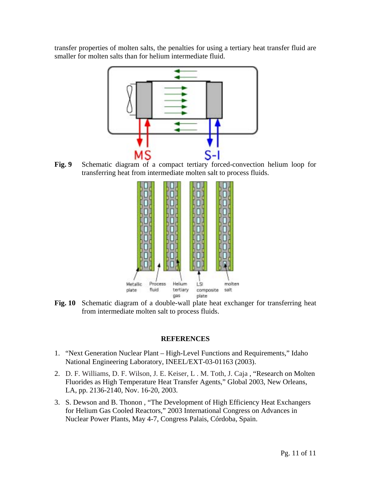transfer properties of molten salts, the penalties for using a tertiary heat transfer fluid are smaller for molten salts than for helium intermediate fluid.



 **Fig. 9** Schematic diagram of a compact tertiary forced-convection helium loop for transferring heat from intermediate molten salt to process fluids.



**Fig. 10** Schematic diagram of a double-wall plate heat exchanger for transferring heat from intermediate molten salt to process fluids.

## **REFERENCES**

- 1. "Next Generation Nuclear Plant High-Level Functions and Requirements," Idaho National Engineering Laboratory, INEEL/EXT-03-01163 (2003).
- 2. D. F. Williams, D. F. Wilson, J. E. Keiser, L . M. Toth, J. Caja , "Research on Molten Fluorides as High Temperature Heat Transfer Agents," Global 2003, New Orleans, LA, pp. 2136-2140, Nov. 16-20, 2003.
- 3. S. Dewson and B. Thonon , "The Development of High Efficiency Heat Exchangers for Helium Gas Cooled Reactors," 2003 International Congress on Advances in Nuclear Power Plants, May 4-7, Congress Palais, Córdoba, Spain.